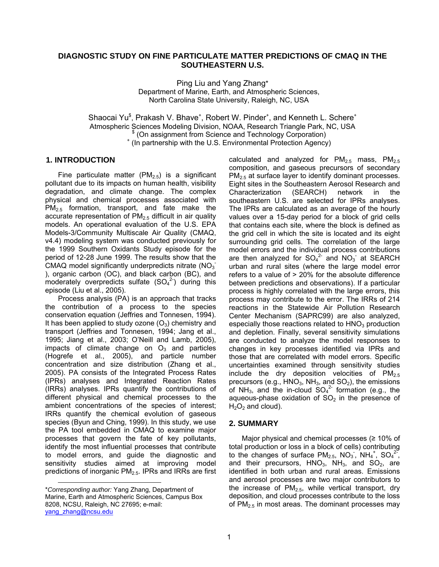### **DIAGNOSTIC STUDY ON FINE PARTICULATE MATTER PREDICTIONS OF CMAQ IN THE SOUTHEASTERN U.S.**

Ping Liu and Yang Zhang\* Department of Marine, Earth, and Atmospheric Sciences, North Carolina State University, Raleigh, NC, USA

Shaocai Yu<sup>\$</sup>, Prakash V. Bhave<sup>+</sup>, Robert W. Pinder<sup>+</sup>, and Kenneth L. Schere<sup>+</sup> Atmospheric Sciences Modeling Division, NOAA, Research Triangle Park, NC, USA \$ (On assignment from Science and Technology Corporation) + (In partnership with the U.S. Environmental Protection Agency)

#### **1. INTRODUCTION**

Fine particulate matter ( $PM_{2.5}$ ) is a significant pollutant due to its impacts on human health, visibility degradation, and climate change. The complex physical and chemical processes associated with  $PM_{2.5}$  formation, transport, and fate make the accurate representation of  $PM<sub>2.5</sub>$  difficult in air quality models. An operational evaluation of the U.S. EPA Models-3/Community Multiscale Air Quality (CMAQ, v4.4) modeling system was conducted previously for the 1999 Southern Oxidants Study episode for the period of 12-28 June 1999. The results show that the CMAQ model significantly underpredicts nitrate (NO<sub>3</sub> ), organic carbon (OC), and black carbon (BC), and moderately overpredicts sulfate  $(SO<sub>4</sub><sup>2</sup>)$  during this episode (Liu et al., 2005).

Process analysis (PA) is an approach that tracks the contribution of a process to the species conservation equation (Jeffries and Tonnesen, 1994). It has been applied to study ozone  $(O_3)$  chemistry and transport (Jeffries and Tonnesen, 1994; Jang et al., 1995; Jiang et al., 2003; O'Neill and Lamb, 2005), impacts of climate change on  $O_3$  and particles (Hogrefe et al., 2005), and particle number concentration and size distribution (Zhang et al., 2005). PA consists of the Integrated Process Rates (IPRs) analyses and Integrated Reaction Rates (IRRs) analyses. IPRs quantify the contributions of different physical and chemical processes to the ambient concentrations of the species of interest; IRRs quantify the chemical evolution of gaseous species (Byun and Ching, 1999). In this study, we use the PA tool embedded in CMAQ to examine major processes that govern the fate of key pollutants, identify the most influential processes that contribute to model errors, and guide the diagnostic and sensitivity studies aimed at improving model predictions of inorganic PM<sub>2.5</sub>. IPRs and IRRs are first

1

calculated and analyzed for  $PM_{2.5}$  mass,  $PM_{2.5}$ composition, and gaseous precursors of secondary  $PM<sub>2.5</sub>$  at surface layer to identify dominant processes. Eight sites in the Southeastern Aerosol Research and Characterization (SEARCH) network in the southeastern U.S. are selected for IPRs analyses. The IPRs are calculated as an average of the hourly values over a 15-day period for a block of grid cells that contains each site, where the block is defined as the grid cell in which the site is located and its eight surrounding grid cells. The correlation of the large model errors and the individual process contributions are then analyzed for  $SO_4^2$  and  $NO_3$  at SEARCH urban and rural sites (where the large model error refers to a value of > 20% for the absolute difference between predictions and observations). If a particular process is highly correlated with the large errors, this process may contribute to the error. The IRRs of 214 reactions in the Statewide Air Pollution Research Center Mechanism (SAPRC99) are also analyzed, especially those reactions related to  $HNO<sub>3</sub>$  production and depletion. Finally, several sensitivity simulations are conducted to analyze the model responses to changes in key processes identified via IPRs and those that are correlated with model errors. Specific uncertainties examined through sensitivity studies include the dry deposition velocities of  $PM_{2.5}$ precursors (e.g.,  $HNO<sub>3</sub>$ ,  $NH<sub>3</sub>$ , and  $SO<sub>2</sub>$ ), the emissions of NH<sub>3</sub>, and the in-cloud  $SO_4^2$  formation (e.g., the aqueous-phase oxidation of  $SO<sub>2</sub>$  in the presence of  $H_2O_2$  and cloud).

#### **2. SUMMARY**

Major physical and chemical processes ( $\geq 10\%$  of total production or loss in a block of cells) contributing to the changes of surface  $PM_{2.5}$ ,  $NO_3$ ,  $NH_4$ <sup>+</sup>,  $SO_4^{25}$ , and their precursors,  $HNO<sub>3</sub>$ ,  $NH<sub>3</sub>$ , and  $SO<sub>2</sub>$ , are identified in both urban and rural areas. Emissions and aerosol processes are two major contributors to the increase of  $PM<sub>2.5</sub>$ , while vertical transport, dry deposition, and cloud processes contribute to the loss of  $PM<sub>2.5</sub>$  in most areas. The dominant processes may

<sup>\*</sup>*Corresponding author:* Yang Zhang, Department of Marine, Earth and Atmospheric Sciences, Campus Box 8208, NCSU, Raleigh, NC 27695; e-mail: [yang\\_zhang@ncsu.edu](mailto:yang_zhang@ncsu.edu)